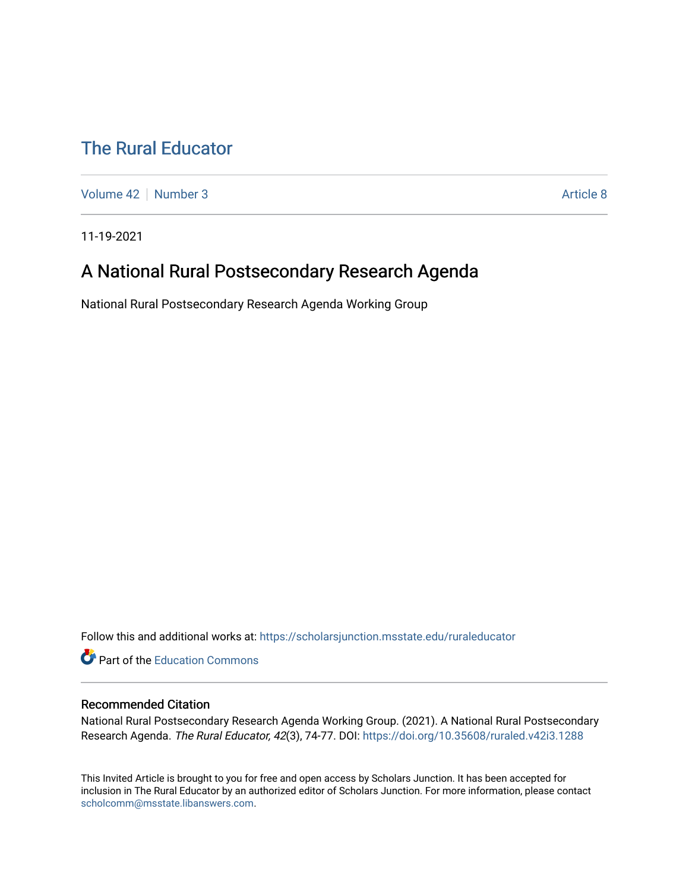## [The Rural Educator](https://scholarsjunction.msstate.edu/ruraleducator)

[Volume 42](https://scholarsjunction.msstate.edu/ruraleducator/vol42) [Number 3](https://scholarsjunction.msstate.edu/ruraleducator/vol42/iss3) Article 8

11-19-2021

## A National Rural Postsecondary Research Agenda

National Rural Postsecondary Research Agenda Working Group

Follow this and additional works at: [https://scholarsjunction.msstate.edu/ruraleducator](https://scholarsjunction.msstate.edu/ruraleducator?utm_source=scholarsjunction.msstate.edu%2Fruraleducator%2Fvol42%2Fiss3%2F8&utm_medium=PDF&utm_campaign=PDFCoverPages)

Part of the [Education Commons](http://network.bepress.com/hgg/discipline/784?utm_source=scholarsjunction.msstate.edu%2Fruraleducator%2Fvol42%2Fiss3%2F8&utm_medium=PDF&utm_campaign=PDFCoverPages)

#### Recommended Citation

National Rural Postsecondary Research Agenda Working Group. (2021). A National Rural Postsecondary Research Agenda. The Rural Educator, 42(3), 74-77. DOI: <https://doi.org/10.35608/ruraled.v42i3.1288>

This Invited Article is brought to you for free and open access by Scholars Junction. It has been accepted for inclusion in The Rural Educator by an authorized editor of Scholars Junction. For more information, please contact [scholcomm@msstate.libanswers.com.](mailto:scholcomm@msstate.libanswers.com)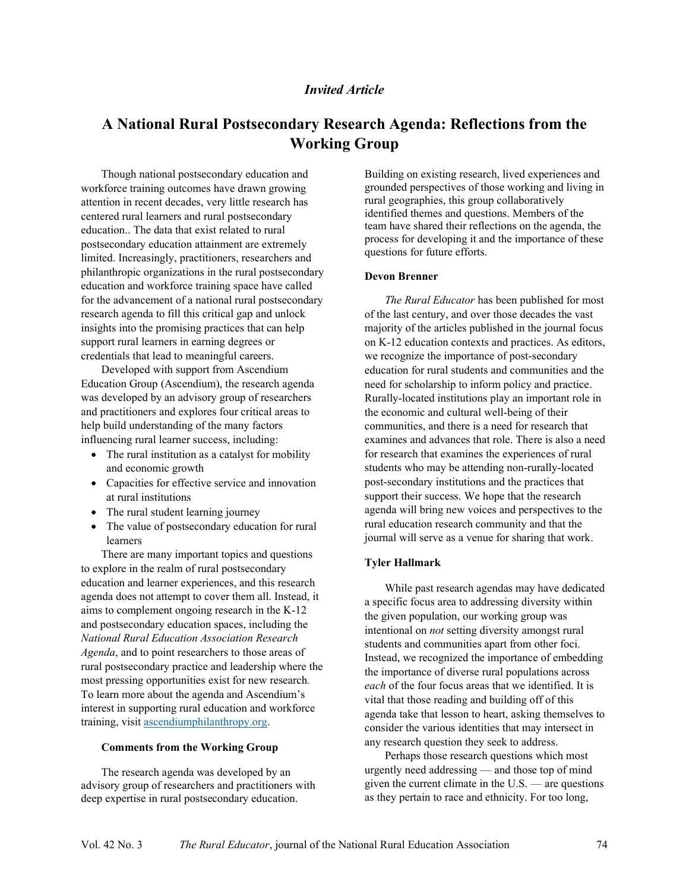#### *Invited Article*

### **A National Rural Postsecondary Research Agenda: Reflections from the Working Group**

Though national postsecondary education and workforce training outcomes have drawn growing attention in recent decades, very little research has centered rural learners and rural postsecondary education.. The data that exist related to rural postsecondary education attainment are extremely limited. Increasingly, practitioners, researchers and philanthropic organizations in the rural postsecondary education and workforce training space have called for the advancement of a national rural postsecondary research agenda to fill this critical gap and unlock insights into the promising practices that can help support rural learners in earning degrees or credentials that lead to meaningful careers.

Developed with support from Ascendium Education Group (Ascendium), the research agenda was developed by an advisory group of researchers and practitioners and explores four critical areas to help build understanding of the many factors influencing rural learner success, including:

- $\bullet$  The rural institution as a catalyst for mobility and economic growth
- Capacities for effective service and innovation at rural institutions
- The rural student learning journey
- The value of postsecondary education for rural learners

There are many important topics and questions to explore in the realm of rural postsecondary education and learner experiences, and this research agenda does not attempt to cover them all. Instead, it aims to complement ongoing research in the K-12 and postsecondary education spaces, including the *National Rural Education Association Research Agenda*, and to point researchers to those areas of rural postsecondary practice and leadership where the most pressing opportunities exist for new research*.* To learn more about the agenda and Ascendium's interest in supporting rural education and workforce training, visit [ascendiumphilanthropy.org.](https://ascendiumphilanthropy.org/)

#### **Comments from the Working Group**

The research agenda was developed by an advisory group of researchers and practitioners with deep expertise in rural postsecondary education.

Building on existing research, lived experiences and grounded perspectives of those working and living in rural geographies, this group collaboratively identified themes and questions. Members of the team have shared their reflections on the agenda, the process for developing it and the importance of these questions for future efforts.

#### **Devon Brenner**

*The Rural Educator* has been published for most of the last century, and over those decades the vast majority of the articles published in the journal focus on K-12 education contexts and practices. As editors, we recognize the importance of post-secondary education for rural students and communities and the need for scholarship to inform policy and practice. Rurally-located institutions play an important role in the economic and cultural well-being of their communities, and there is a need for research that examines and advances that role. There is also a need for research that examines the experiences of rural students who may be attending non-rurally-located post-secondary institutions and the practices that support their success. We hope that the research agenda will bring new voices and perspectives to the rural education research community and that the journal will serve as a venue for sharing that work.

#### **Tyler Hallmark**

While past research agendas may have dedicated a specific focus area to addressing diversity within the given population, our working group was intentional on *not* setting diversity amongst rural students and communities apart from other foci. Instead, we recognized the importance of embedding the importance of diverse rural populations across *each* of the four focus areas that we identified. It is vital that those reading and building off of this agenda take that lesson to heart, asking themselves to consider the various identities that may intersect in any research question they seek to address.

Perhaps those research questions which most urgently need addressing  $-$  and those top of mind given the current climate in the  $U.S.$  — are questions as they pertain to race and ethnicity. For too long,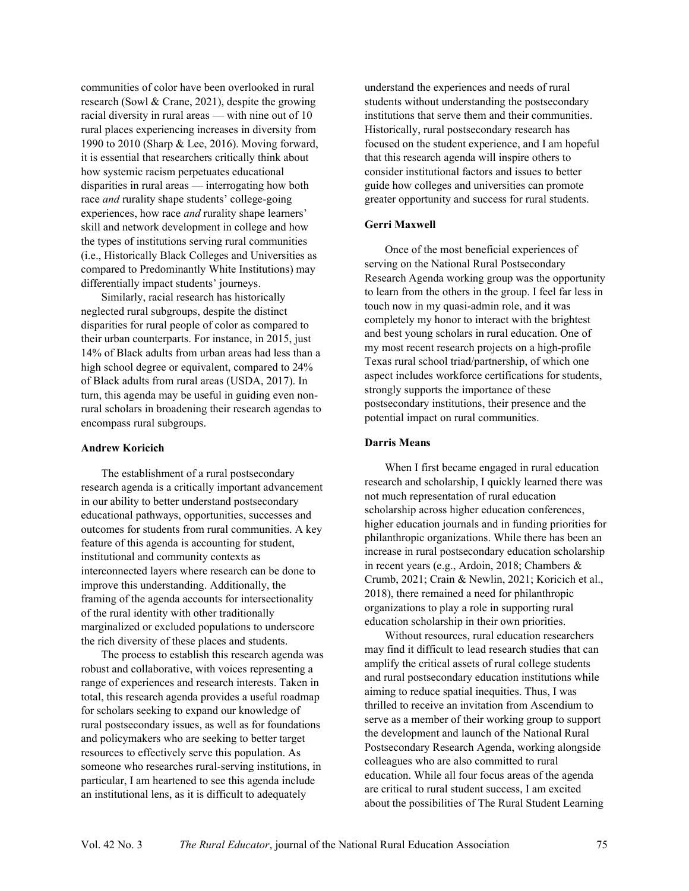communities of color have been overlooked in rural research (Sowl & Crane, 2021), despite the growing racial diversity in rural areas  $-$  with nine out of 10 rural places experiencing increases in diversity from 1990 to 2010 (Sharp & Lee, 2016). Moving forward, it is essential that researchers critically think about how systemic racism perpetuates educational disparities in rural areas  $-$  interrogating how both race *and* rurality shape students' college-going experiences, how race *and* rurality shape learners' skill and network development in college and how the types of institutions serving rural communities (i.e., Historically Black Colleges and Universities as compared to Predominantly White Institutions) may differentially impact students' journeys.

Similarly, racial research has historically neglected rural subgroups, despite the distinct disparities for rural people of color as compared to their urban counterparts. For instance, in 2015, just 14% of Black adults from urban areas had less than a high school degree or equivalent, compared to 24% of Black adults from rural areas (USDA, 2017). In turn, this agenda may be useful in guiding even nonrural scholars in broadening their research agendas to encompass rural subgroups.

#### **Andrew Koricich**

The establishment of a rural postsecondary research agenda is a critically important advancement in our ability to better understand postsecondary educational pathways, opportunities, successes and outcomes for students from rural communities. A key feature of this agenda is accounting for student, institutional and community contexts as interconnected layers where research can be done to improve this understanding. Additionally, the framing of the agenda accounts for intersectionality of the rural identity with other traditionally marginalized or excluded populations to underscore the rich diversity of these places and students.

The process to establish this research agenda was robust and collaborative, with voices representing a range of experiences and research interests. Taken in total, this research agenda provides a useful roadmap for scholars seeking to expand our knowledge of rural postsecondary issues, as well as for foundations and policymakers who are seeking to better target resources to effectively serve this population. As someone who researches rural-serving institutions, in particular, I am heartened to see this agenda include an institutional lens, as it is difficult to adequately

understand the experiences and needs of rural students without understanding the postsecondary institutions that serve them and their communities. Historically, rural postsecondary research has focused on the student experience, and I am hopeful that this research agenda will inspire others to consider institutional factors and issues to better guide how colleges and universities can promote greater opportunity and success for rural students.

#### **Gerri Maxwell**

Once of the most beneficial experiences of serving on the National Rural Postsecondary Research Agenda working group was the opportunity to learn from the others in the group. I feel far less in touch now in my quasi-admin role, and it was completely my honor to interact with the brightest and best young scholars in rural education. One of my most recent research projects on a high-profile Texas rural school triad/partnership, of which one aspect includes workforce certifications for students, strongly supports the importance of these postsecondary institutions, their presence and the potential impact on rural communities.

#### **Darris Means**

When I first became engaged in rural education research and scholarship, I quickly learned there was not much representation of rural education scholarship across higher education conferences, higher education journals and in funding priorities for philanthropic organizations. While there has been an increase in rural postsecondary education scholarship in recent years (e.g., Ardoin, 2018; Chambers & Crumb, 2021; Crain & Newlin, 2021; Koricich et al., 2018), there remained a need for philanthropic organizations to play a role in supporting rural education scholarship in their own priorities.

Without resources, rural education researchers may find it difficult to lead research studies that can amplify the critical assets of rural college students and rural postsecondary education institutions while aiming to reduce spatial inequities. Thus, I was thrilled to receive an invitation from Ascendium to serve as a member of their working group to support the development and launch of the National Rural Postsecondary Research Agenda, working alongside colleagues who are also committed to rural education. While all four focus areas of the agenda are critical to rural student success, I am excited about the possibilities of The Rural Student Learning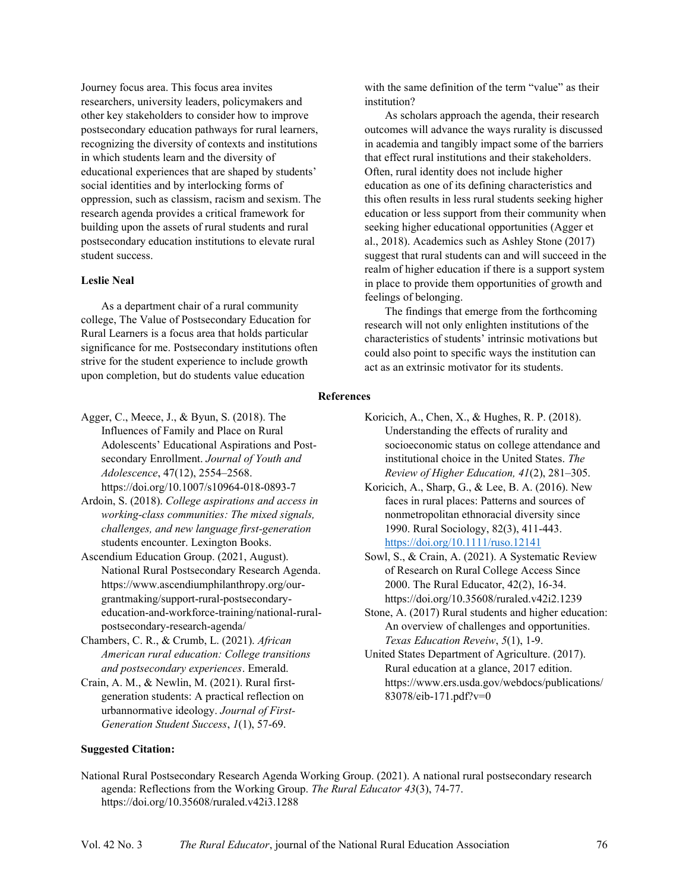Journey focus area. This focus area invites researchers, university leaders, policymakers and other key stakeholders to consider how to improve postsecondary education pathways for rural learners, recognizing the diversity of contexts and institutions in which students learn and the diversity of educational experiences that are shaped by students' social identities and by interlocking forms of oppression, such as classism, racism and sexism. The research agenda provides a critical framework for building upon the assets of rural students and rural postsecondary education institutions to elevate rural student success.

#### **Leslie Neal**

As a department chair of a rural community college, The Value of Postsecondary Education for Rural Learners is a focus area that holds particular significance for me. Postsecondary institutions often strive for the student experience to include growth upon completion, but do students value education

with the same definition of the term "value" as their institution?

As scholars approach the agenda, their research outcomes will advance the ways rurality is discussed in academia and tangibly impact some of the barriers that effect rural institutions and their stakeholders. Often, rural identity does not include higher education as one of its defining characteristics and this often results in less rural students seeking higher education or less support from their community when seeking higher educational opportunities (Agger et al., 2018). Academics such as Ashley Stone (2017) suggest that rural students can and will succeed in the realm of higher education if there is a support system in place to provide them opportunities of growth and feelings of belonging.

The findings that emerge from the forthcoming research will not only enlighten institutions of the characteristics of students' intrinsic motivations but could also point to specific ways the institution can act as an extrinsic motivator for its students.

#### **References**

- Agger, C., Meece, J., & Byun, S. (2018). The Influences of Family and Place on Rural Adolescents' Educational Aspirations and Postsecondary Enrollment. *Journal of Youth and Adolescence*, 47(12), 2554-2568. https://doi.org/10.1007/s10964-018-0893-7
- Ardoin, S. (2018). *College aspirations and access in working-class communities: The mixed signals, challenges, and new language first-generation*  students encounter. Lexington Books.
- Ascendium Education Group. (2021, August). National Rural Postsecondary Research Agenda. [https://www.ascendiumphilanthropy.org/our](https://www.ascendiumphilanthropy.org/our-grantmaking/support-rural-postsecondary-education-and-workforce-training/national-rural-postsecondary-research-agenda/)[grantmaking/support-rural-postsecondary](https://www.ascendiumphilanthropy.org/our-grantmaking/support-rural-postsecondary-education-and-workforce-training/national-rural-postsecondary-research-agenda/)[education-and-workforce-training/national-rural](https://www.ascendiumphilanthropy.org/our-grantmaking/support-rural-postsecondary-education-and-workforce-training/national-rural-postsecondary-research-agenda/)[postsecondary-research-agenda/](https://www.ascendiumphilanthropy.org/our-grantmaking/support-rural-postsecondary-education-and-workforce-training/national-rural-postsecondary-research-agenda/)
- Chambers, C. R., & Crumb, L. (2021). *African American rural education: College transitions and postsecondary experiences*. Emerald.
- Crain, A. M., & Newlin, M. (2021). Rural firstgeneration students: A practical reflection on urbannormative ideology. *Journal of First-Generation Student Success*, *1*(1), 57-69.
- Koricich, A., Chen, X., & Hughes, R. P. (2018). Understanding the effects of rurality and socioeconomic status on college attendance and institutional choice in the United States. *The Review of Higher Education,*  $41(2)$ *, 281–305.*
- Koricich, A., Sharp, G., & Lee, B. A. (2016). New faces in rural places: Patterns and sources of nonmetropolitan ethnoracial diversity since 1990. Rural Sociology, 82(3), 411-443. <https://doi.org/10.1111/ruso.12141>
- Sowl, S., & Crain, A. (2021). A Systematic Review of Research on Rural College Access Since 2000. The Rural Educator, 42(2), 16-34. <https://doi.org/10.35608/ruraled.v42i2.1239>
- Stone, A. (2017) Rural students and higher education: An overview of challenges and opportunities. *Texas Education Reveiw*, *5*(1), 1-9.
- United States Department of Agriculture. (2017). Rural education at a glance, 2017 edition. https://www.ers.usda.gov/webdocs/publications/ 83078/eib-171.pdf?v=0

#### **Suggested Citation:**

National Rural Postsecondary Research Agenda Working Group. (2021). A national rural postsecondary research agenda: Reflections from the Working Group. *The Rural Educator 43*(3), 74-77. https://doi.org/10.35608/ruraled.v42i3.1288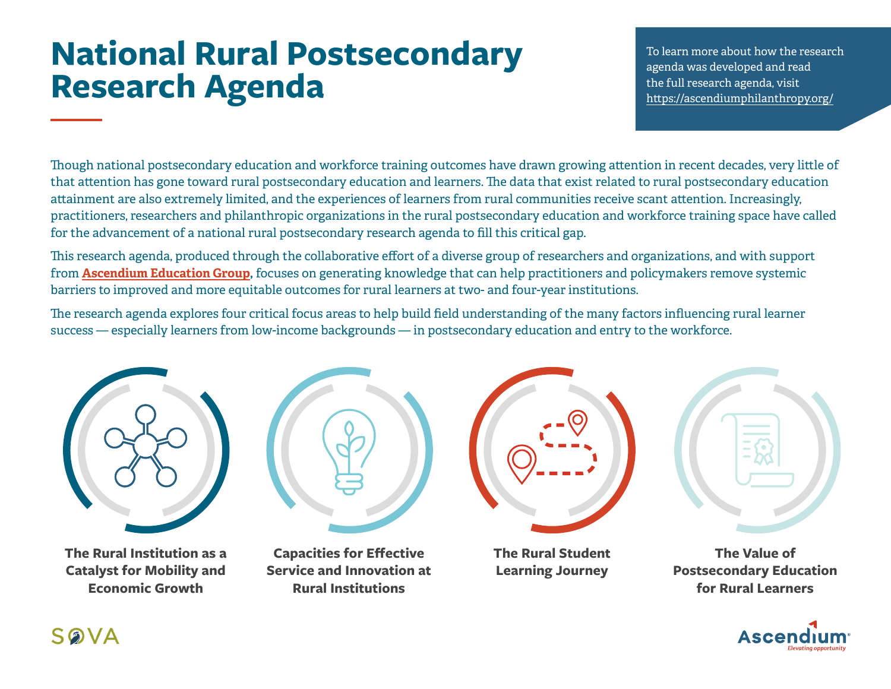## **National Rural Postsecondary Research Agenda**

To learn more about how the research agenda was developed and read the full research agenda, visit htt[ps://ascendiumphilanthropy.org/](https://ascendiumphilanthropy.org/)

Though national postsecondary education and workforce training outcomes have drawn growing attention in recent decades, very little of that attention has gone toward rural postsecondary education and learners. The data that exist related to rural postsecondary education attainment are also extremely limited, and the experiences of learners from rural communities receive scant attention. Increasingly, practitioners, researchers and philanthropic organizations in the rural postsecondary education and workforce training space have called for the advancement of a national rural postsecondary research agenda to fill this critical gap.

This research agenda, produced through the collaborative effort of a diverse group of researchers and organizations, and with support from **[Ascendium Education Group](https://www.ascendiumphilanthropy.org/),** focuses on generating knowledge that can help practitioners and policymakers remove systemic barriers to improved and more equitable outcomes for rural learners at two- and four-year institutions.

The research agenda explores four critical focus areas to help build field understanding of the many factors influencing rural learner success — especially learners from low-income backgrounds — in postsecondary education and entry to the workforce.



**The Rural Institution as a Catalyst for Mobility and Economic Growth**



**The Rural Student Learning Journey**

**The Value of Postsecondary Education for Rural Learners**